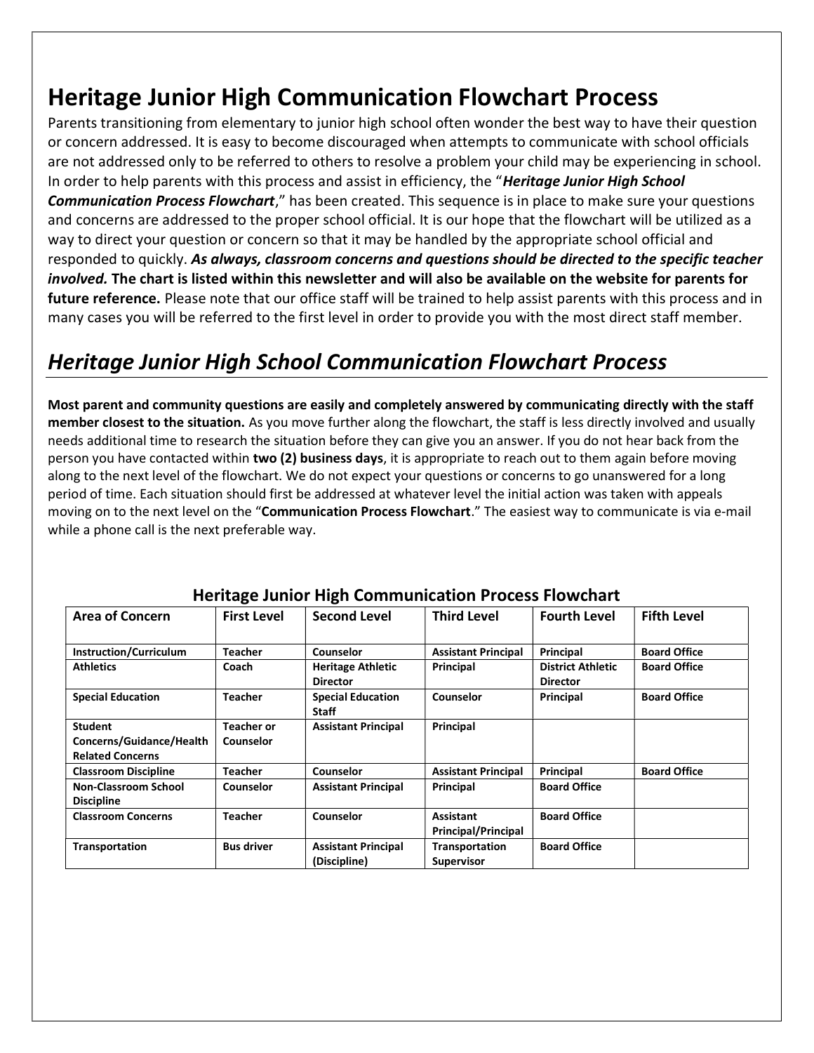# Heritage Junior High Communication Flowchart Process

Parents transitioning from elementary to junior high school often wonder the best way to have their question or concern addressed. It is easy to become discouraged when attempts to communicate with school officials are not addressed only to be referred to others to resolve a problem your child may be experiencing in school. In order to help parents with this process and assist in efficiency, the "Heritage Junior High School **Communication Process Flowchart**," has been created. This sequence is in place to make sure your questions and concerns are addressed to the proper school official. It is our hope that the flowchart will be utilized as a way to direct your question or concern so that it may be handled by the appropriate school official and responded to quickly. As always, classroom concerns and questions should be directed to the specific teacher involved. The chart is listed within this newsletter and will also be available on the website for parents for future reference. Please note that our office staff will be trained to help assist parents with this process and in many cases you will be referred to the first level in order to provide you with the most direct staff member.

## Heritage Junior High School Communication Flowchart Process

Most parent and community questions are easily and completely answered by communicating directly with the staff member closest to the situation. As you move further along the flowchart, the staff is less directly involved and usually needs additional time to research the situation before they can give you an answer. If you do not hear back from the person you have contacted within two (2) business days, it is appropriate to reach out to them again before moving along to the next level of the flowchart. We do not expect your questions or concerns to go unanswered for a long period of time. Each situation should first be addressed at whatever level the initial action was taken with appeals moving on to the next level on the "Communication Process Flowchart." The easiest way to communicate is via e-mail while a phone call is the next preferable way.

| <b>Area of Concern</b>                                                | <b>First Level</b>      | <b>Second Level</b>                         | <b>Third Level</b>                             | <b>Fourth Level</b>                         | <b>Fifth Level</b>  |
|-----------------------------------------------------------------------|-------------------------|---------------------------------------------|------------------------------------------------|---------------------------------------------|---------------------|
| <b>Instruction/Curriculum</b>                                         | <b>Teacher</b>          | Counselor                                   | <b>Assistant Principal</b>                     | Principal                                   | <b>Board Office</b> |
| <b>Athletics</b>                                                      | Coach                   | <b>Heritage Athletic</b><br><b>Director</b> | Principal                                      | <b>District Athletic</b><br><b>Director</b> | <b>Board Office</b> |
| <b>Special Education</b>                                              | Teacher                 | <b>Special Education</b><br><b>Staff</b>    | Counselor                                      | Principal                                   | <b>Board Office</b> |
| <b>Student</b><br>Concerns/Guidance/Health<br><b>Related Concerns</b> | Teacher or<br>Counselor | <b>Assistant Principal</b>                  | Principal                                      |                                             |                     |
| <b>Classroom Discipline</b>                                           | <b>Teacher</b>          | Counselor                                   | <b>Assistant Principal</b>                     | Principal                                   | <b>Board Office</b> |
| <b>Non-Classroom School</b><br><b>Discipline</b>                      | Counselor               | <b>Assistant Principal</b>                  | Principal                                      | <b>Board Office</b>                         |                     |
| <b>Classroom Concerns</b>                                             | <b>Teacher</b>          | Counselor                                   | <b>Assistant</b><br><b>Principal/Principal</b> | <b>Board Office</b>                         |                     |
| <b>Transportation</b>                                                 | <b>Bus driver</b>       | <b>Assistant Principal</b><br>(Discipline)  | Transportation<br><b>Supervisor</b>            | <b>Board Office</b>                         |                     |

#### Heritage Junior High Communication Process Flowchart